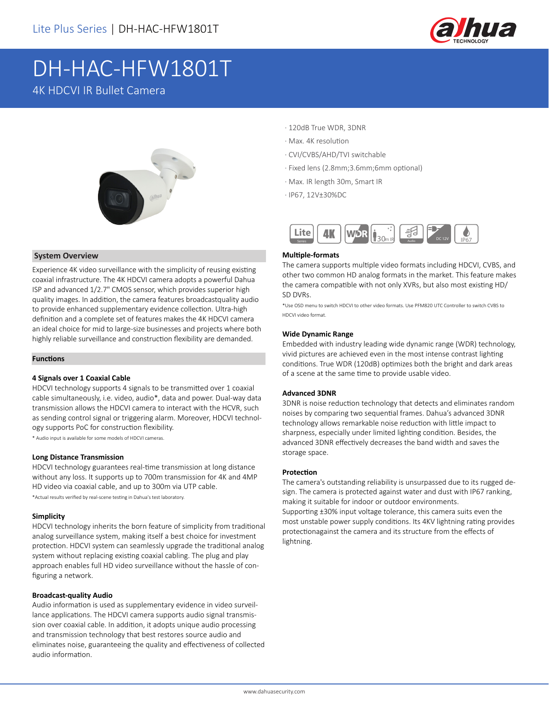

# DH-HAC-HFW1801T 4K HDCVI IR Bullet Camera



### **System Overview**

Experience 4K video surveillance with the simplicity of reusing existing coaxial infrastructure. The 4K HDCVI camera adopts a powerful Dahua ISP and advanced 1/2.7" CMOS sensor, which provides superior high quality images. In addition, the camera features broadcastquality audio to provide enhanced supplementary evidence collection. Ultra-high definition and a complete set of features makes the 4K HDCVI camera an ideal choice for mid to large-size businesses and projects where both highly reliable surveillance and construction flexibility are demanded.

#### **Functions**

#### **4 Signals over 1 Coaxial Cable**

HDCVI technology supports 4 signals to be transmitted over 1 coaxial cable simultaneously, i.e. video, audio\*, data and power. Dual-way data transmission allows the HDCVI camera to interact with the HCVR, such as sending control signal or triggering alarm. Moreover, HDCVI technology supports PoC for construction flexibility.

\* Audio input is available for some models of HDCVI cameras.

#### **Long Distance Transmission**

HDCVI technology guarantees real-time transmission at long distance without any loss. It supports up to 700m transmission for 4K and 4MP HD video via coaxial cable, and up to 300m via UTP cable.

\*Actual results verified by real-scene testing in Dahua's test laboratory.

#### **Simplicity**

HDCVI technology inherits the born feature of simplicity from traditional analog surveillance system, making itself a best choice for investment protection. HDCVI system can seamlessly upgrade the traditional analog system without replacing existing coaxial cabling. The plug and play approach enables full HD video surveillance without the hassle of configuring a network.

#### **Broadcast-quality Audio**

Audio information is used as supplementary evidence in video surveillance applications. The HDCVI camera supports audio signal transmission over coaxial cable. In addition, it adopts unique audio processing and transmission technology that best restores source audio and eliminates noise, guaranteeing the quality and effectiveness of collected audio information.

- · 120dB True WDR, 3DNR
- · Max. 4K resolution
- · CVI/CVBS/AHD/TVI switchable
- · Fixed lens (2.8mm;3.6mm;6mm optional)
- · Max. IR length 30m, Smart IR
- · IP67, 12V±30%DC



#### **Multiple-formats**

The camera supports multiple video formats including HDCVI, CVBS, and other two common HD analog formats in the market. This feature makes the camera compatible with not only XVRs, but also most existing HD/ SD DVRs.

\*Use OSD menu to switch HDCVI to other video formats. Use PFM820 UTC Controller to switch CVBS to HDCVI video format.

#### **Wide Dynamic Range**

Embedded with industry leading wide dynamic range (WDR) technology, vivid pictures are achieved even in the most intense contrast lighting conditions. True WDR (120dB) optimizes both the bright and dark areas of a scene at the same time to provide usable video.

#### **Advanced 3DNR**

3DNR is noise reduction technology that detects and eliminates random noises by comparing two sequential frames. Dahua's advanced 3DNR technology allows remarkable noise reduction with little impact to sharpness, especially under limited lighting condition. Besides, the advanced 3DNR effectively decreases the band width and saves the storage space.

#### **Protection**

The camera's outstanding reliability is unsurpassed due to its rugged design. The camera is protected against water and dust with IP67 ranking, making it suitable for indoor or outdoor environments. Supporting ±30% input voltage tolerance, this camera suits even the most unstable power supply conditions. Its 4KV lightning rating provides protectionagainst the camera and its structure from the effects of lightning.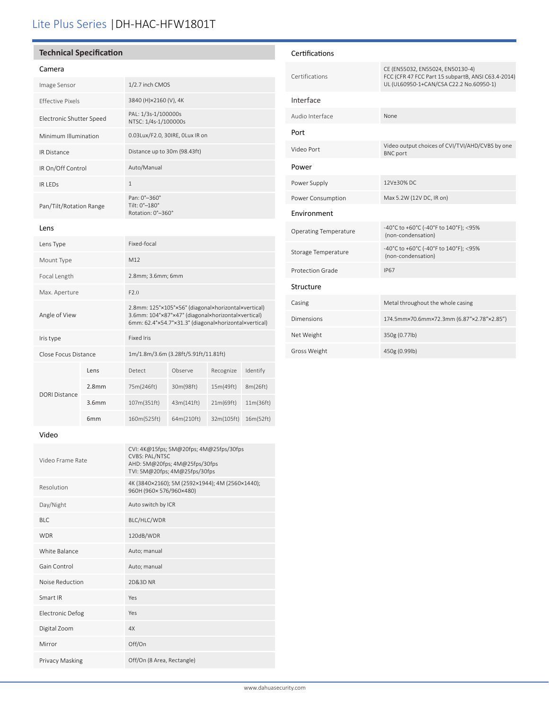# Lite Plus Series |DH-HAC-HFW1801T

## **Technical Specification**

#### Camera

| Image Sensor             | 1/2.7 inch CMOS                                    |
|--------------------------|----------------------------------------------------|
| <b>Effective Pixels</b>  | 3840 (H)×2160 (V), 4K                              |
| Electronic Shutter Speed | PAL: 1/3s-1/100000s<br>NTSC: 1/4s-1/100000s        |
| Minimum Illumination     | 0.03Lux/F2.0, 30IRE, OLux IR on                    |
| <b>IR Distance</b>       | Distance up to 30m (98.43ft)                       |
| IR On/Off Control        | Auto/Manual                                        |
| <b>IR LEDS</b>           | $\mathbf{1}$                                       |
| Pan/Tilt/Rotation Range  | Pan: 0°-360°<br>Tilt: 0°-180°<br>Rotation: 0°-360° |
| Lens                     |                                                    |

| Lens Type            |                   | Fixed-focal                                                                                                                                                        |            |            |           |
|----------------------|-------------------|--------------------------------------------------------------------------------------------------------------------------------------------------------------------|------------|------------|-----------|
| Mount Type           |                   | M12                                                                                                                                                                |            |            |           |
| Focal Length         |                   | 2.8mm; 3.6mm; 6mm                                                                                                                                                  |            |            |           |
| Max. Aperture        |                   | F2.0                                                                                                                                                               |            |            |           |
| Angle of View        |                   | 2.8mm: 125°×105°×56° (diagonal×horizontal×vertical)<br>3.6mm: 104°×87°×47° (diagonal×horizontal×vertical)<br>6mm: 62.4°×54.7°×31.3° (diagonal×horizontal×vertical) |            |            |           |
| Iris type            |                   | <b>Fixed Iris</b>                                                                                                                                                  |            |            |           |
| Close Focus Distance |                   | 1m/1.8m/3.6m (3.28ft/5.91ft/11.81ft)                                                                                                                               |            |            |           |
|                      | Lens              | Detect                                                                                                                                                             | Observe    | Recognize  | Identify  |
|                      | 2.8 <sub>mm</sub> | 75m(246ft)                                                                                                                                                         | 30m(98ft)  | 15m(49ft)  | 8m(26ft)  |
| <b>DORI Distance</b> | 3.6mm             | 107m(351ft)                                                                                                                                                        | 43m(141ft) | 21m(69ft)  | 11m(36ft) |
|                      | 6 <sub>mm</sub>   | 160m(525ft)                                                                                                                                                        | 64m(210ft) | 32m(105ft) | 16m(52ft) |

| Certifications               |                                                                                                                                   |
|------------------------------|-----------------------------------------------------------------------------------------------------------------------------------|
| Certifications               | CE (EN55032, EN55024, EN50130-4)<br>FCC (CFR 47 FCC Part 15 subpartB, ANSI C63.4-2014)<br>UL (UL60950-1+CAN/CSA C22.2 No.60950-1) |
| Interface                    |                                                                                                                                   |
| Audio Interface              | None                                                                                                                              |
| Port                         |                                                                                                                                   |
| Video Port                   | Video output choices of CVI/TVI/AHD/CVBS by one<br><b>BNC</b> port                                                                |
| Power                        |                                                                                                                                   |
| Power Supply                 | 12V+30% DC                                                                                                                        |
| Power Consumption            | Max 5.2W (12V DC, IR on)                                                                                                          |
| Environment                  |                                                                                                                                   |
| <b>Operating Temperature</b> | -40°C to +60°C (-40°F to 140°F); <95%<br>(non-condensation)                                                                       |
| Storage Temperature          | -40°C to +60°C (-40°F to 140°F); <95%<br>(non-condensation)                                                                       |
| Protection Grade             | <b>IP67</b>                                                                                                                       |
| Structure                    |                                                                                                                                   |
| Casing                       | Metal throughout the whole casing                                                                                                 |
| Dimensions                   | 174.5mm×70.6mm×72.3mm (6.87"×2.78"×2.85")                                                                                         |
| Net Weight                   | 350g (0.77lb)                                                                                                                     |
| Gross Weight                 | 450g (0.99lb)                                                                                                                     |

#### Video

| Video Frame Rate        | CVI: 4K@15fps; 5M@20fps; 4M@25fps/30fps<br><b>CVBS: PAL/NTSC</b><br>AHD: 5M@20fps; 4M@25fps/30fps<br>TVI: 5M@20fps; 4M@25fps/30fps |
|-------------------------|------------------------------------------------------------------------------------------------------------------------------------|
| Resolution              | 4K (3840×2160); 5M (2592×1944); 4M (2560×1440);<br>960H (960×576/960×480)                                                          |
| Day/Night               | Auto switch by ICR                                                                                                                 |
| BLC                     | BLC/HLC/WDR                                                                                                                        |
| <b>WDR</b>              | 120dB/WDR                                                                                                                          |
| White Balance           | Auto; manual                                                                                                                       |
| Gain Control            | Auto; manual                                                                                                                       |
| Noise Reduction         | 2D&3D NR                                                                                                                           |
| Smart IR                | Yes                                                                                                                                |
| <b>Electronic Defog</b> | Yes                                                                                                                                |
| Digital Zoom            | 4X                                                                                                                                 |
| Mirror                  | Off/On                                                                                                                             |
| Privacy Masking         | Off/On (8 Area, Rectangle)                                                                                                         |